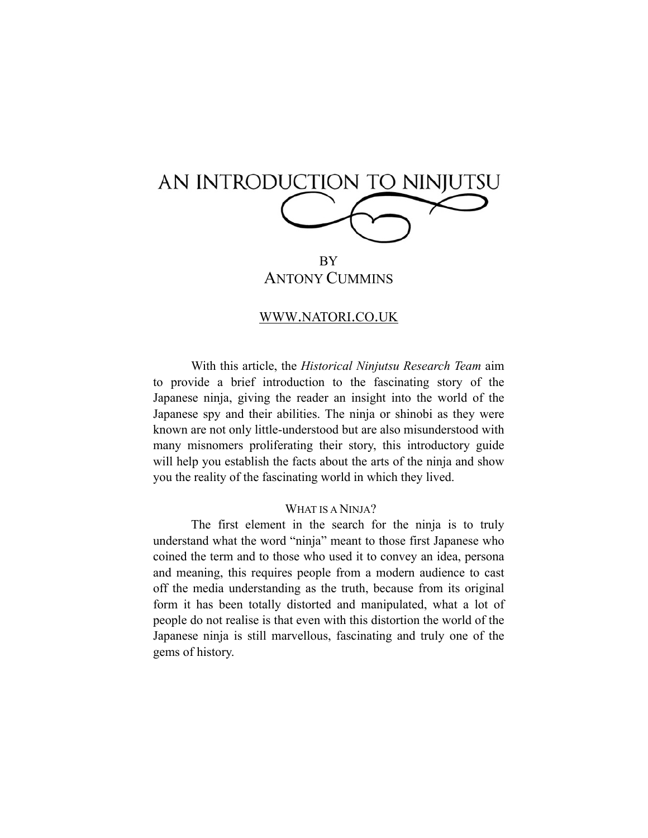| AN INTRODUCTION TO NINJUTSU |
|-----------------------------|
|                             |
|                             |

BY ANTONY CUMMINS

#### [WWW.NATORI.CO.UK](http://www.natori.co.uk)

With this article, the *Historical Ninjutsu Research Team* aim to provide a brief introduction to the fascinating story of the Japanese ninja, giving the reader an insight into the world of the Japanese spy and their abilities. The ninja or shinobi as they were known are not only little-understood but are also misunderstood with many misnomers proliferating their story, this introductory guide will help you establish the facts about the arts of the ninja and show you the reality of the fascinating world in which they lived.

#### WHAT IS A NINJA?

The first element in the search for the ninja is to truly understand what the word "ninja" meant to those first Japanese who coined the term and to those who used it to convey an idea, persona and meaning, this requires people from a modern audience to cast off the media understanding as the truth, because from its original form it has been totally distorted and manipulated, what a lot of people do not realise is that even with this distortion the world of the Japanese ninja is still marvellous, fascinating and truly one of the gems of history.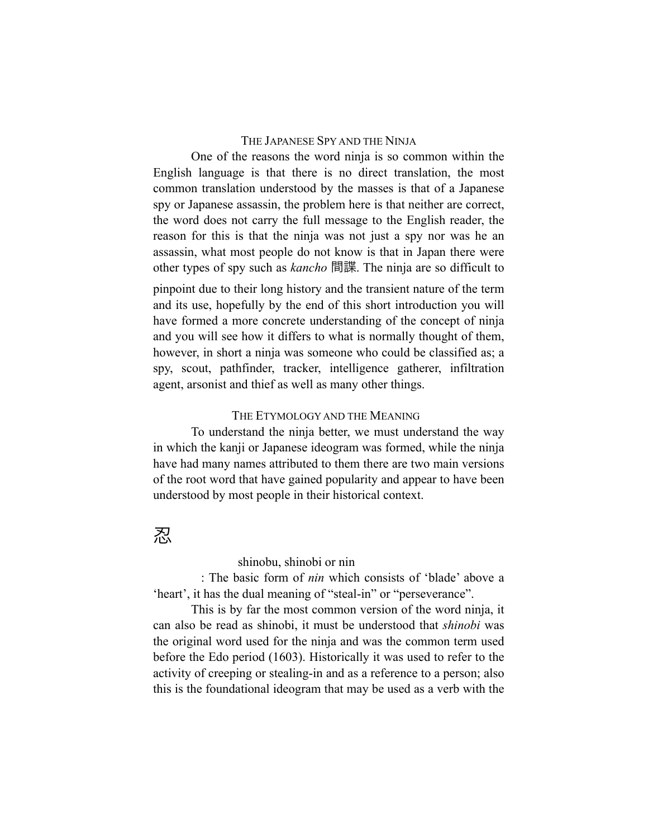#### THE JAPANESE SPY AND THE NINJA

One of the reasons the word ninja is so common within the English language is that there is no direct translation, the most common translation understood by the masses is that of a Japanese spy or Japanese assassin, the problem here is that neither are correct, the word does not carry the full message to the English reader, the reason for this is that the ninja was not just a spy nor was he an assassin, what most people do not know is that in Japan there were other types of spy such as *kancho* 間諜. The ninja are so difficult to

pinpoint due to their long history and the transient nature of the term and its use, hopefully by the end of this short introduction you will have formed a more concrete understanding of the concept of ninja and you will see how it differs to what is normally thought of them, however, in short a ninja was someone who could be classified as; a spy, scout, pathfinder, tracker, intelligence gatherer, infiltration agent, arsonist and thief as well as many other things.

#### THE ETYMOLOGY AND THE MEANING

To understand the ninja better, we must understand the way in which the kanji or Japanese ideogram was formed, while the ninja have had many names attributed to them there are two main versions of the root word that have gained popularity and appear to have been understood by most people in their historical context.

# 忍

#### **Pronunciation:** shinobu, shinobi or nin

**Meaning**: The basic form of *nin* which consists of 'blade' above a 'heart', it has the dual meaning of "steal-in" or "perseverance".

This is by far the most common version of the word ninja, it can also be read as shinobi, it must be understood that *shinobi* was the original word used for the ninja and was the common term used before the Edo period (1603). Historically it was used to refer to the activity of creeping or stealing-in and as a reference to a person; also this is the foundational ideogram that may be used as a verb with the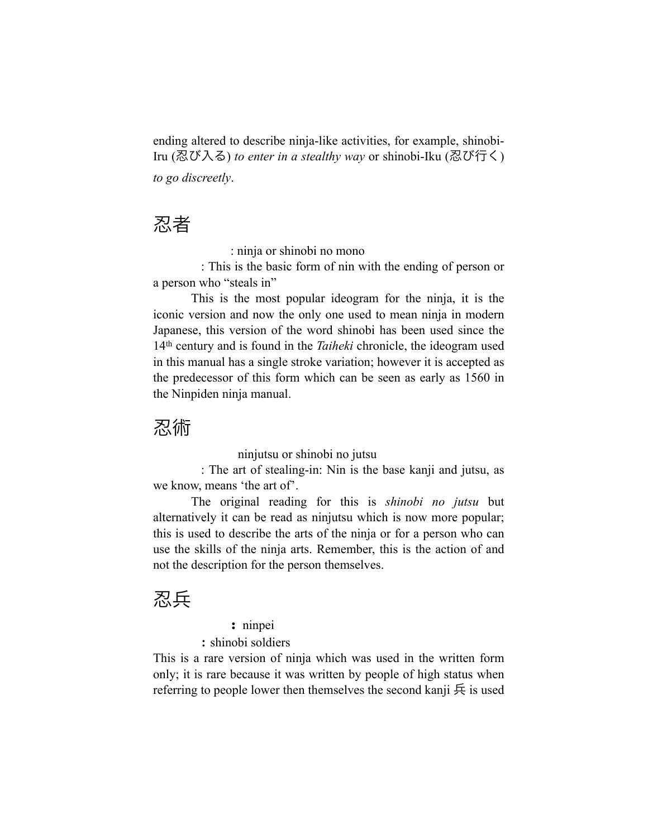ending altered to describe ninja-like activities, for example, shinobi-Iru (忍び入る) *to enter in a stealthy way* or shinobi-Iku (忍び行く) *to go discreetly*.

# 忍者

**Pronunciation**: ninja or shinobi no mono

**Meaning**: This is the basic form of nin with the ending of person or a person who "steals in"

This is the most popular ideogram for the ninja, it is the iconic version and now the only one used to mean ninja in modern Japanese, this version of the word shinobi has been used since the 14th century and is found in the *Taiheki* chronicle, the ideogram used in this manual has a single stroke variation; however it is accepted as the predecessor of this form which can be seen as early as 1560 in the Ninpiden ninja manual.

# 忍術

**Pronunciation:** ninjutsu or shinobi no jutsu

**Meaning**: The art of stealing-in: Nin is the base kanji and jutsu, as we know, means 'the art of'.

The original reading for this is *shinobi no jutsu* but alternatively it can be read as ninjutsu which is now more popular; this is used to describe the arts of the ninja or for a person who can use the skills of the ninja arts. Remember, this is the action of and not the description for the person themselves.

# 忍兵

# **Pronunciation:** ninpei

# **Meaning**: shinobi soldiers

This is a rare version of ninja which was used in the written form only; it is rare because it was written by people of high status when referring to people lower then themselves the second kanji  $\overline{\mathfrak{H}}$  is used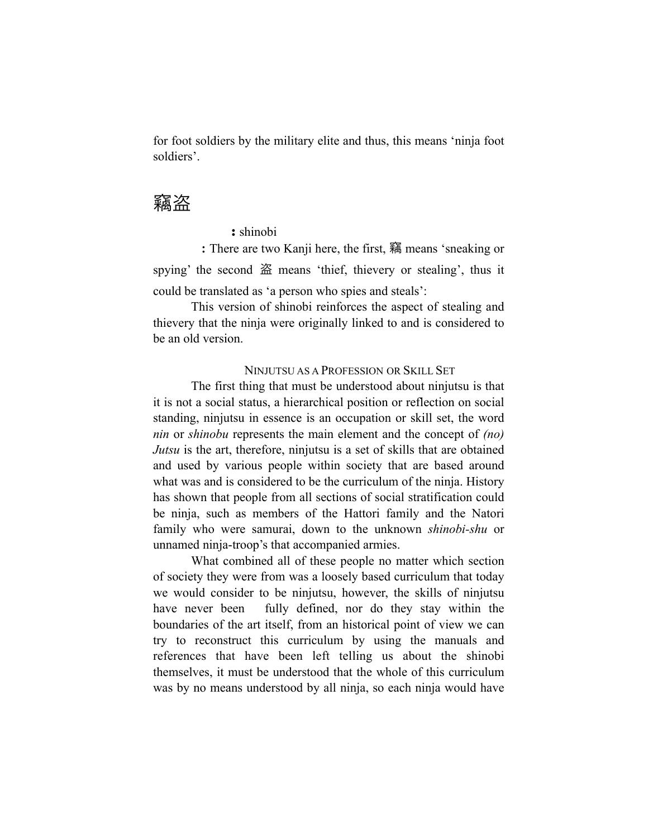for foot soldiers by the military elite and thus, this means 'ninja foot soldiers'.

# 竊盗

## **Pronunciation:** shinobi

**Meaning:** There are two Kanji here, the first, 竊 means 'sneaking or spying' the second 盗 means 'thief, thievery or stealing', thus it could be translated as 'a person who spies and steals':

This version of shinobi reinforces the aspect of stealing and thievery that the ninja were originally linked to and is considered to be an old version.

## NINJUTSU AS A PROFESSION OR SKILL SET

The first thing that must be understood about ninjutsu is that it is not a social status, a hierarchical position or reflection on social standing, ninjutsu in essence is an occupation or skill set, the word *nin* or *shinobu* represents the main element and the concept of *(no) Jutsu* is the art, therefore, ninjutsu is a set of skills that are obtained and used by various people within society that are based around what was and is considered to be the curriculum of the ninja. History has shown that people from all sections of social stratification could be ninja, such as members of the Hattori family and the Natori family who were samurai, down to the unknown *shinobi-shu* or unnamed ninja-troop's that accompanied armies.

What combined all of these people no matter which section of society they were from was a loosely based curriculum that today we would consider to be ninjutsu, however, the skills of ninjutsu have never been fully defined, nor do they stay within the boundaries of the art itself, from an historical point of view we can try to reconstruct this curriculum by using the manuals and references that have been left telling us about the shinobi themselves, it must be understood that the whole of this curriculum was by no means understood by all ninja, so each ninja would have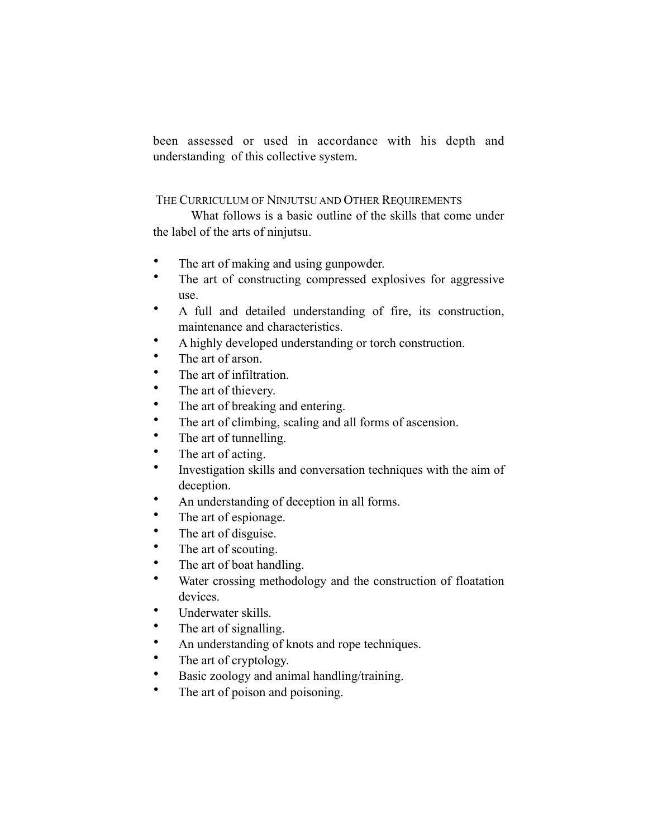been assessed or used in accordance with his depth and understanding of this collective system.

## THE CURRICULUM OF NINJUTSU AND OTHER REQUIREMENTS

What follows is a basic outline of the skills that come under the label of the arts of ninjutsu.

- The art of making and using gunpowder.
- The art of constructing compressed explosives for aggressive use.
- A full and detailed understanding of fire, its construction, maintenance and characteristics.
- A highly developed understanding or torch construction.
- The art of arson.
- The art of infiltration.
- The art of thievery.
- The art of breaking and entering.
- The art of climbing, scaling and all forms of ascension.
- The art of tunnelling.
- The art of acting.
- Investigation skills and conversation techniques with the aim of deception.
- An understanding of deception in all forms.
- The art of espionage.
- The art of disguise.
- The art of scouting.
- The art of boat handling.
- Water crossing methodology and the construction of floatation devices.
- Underwater skills.
- The art of signalling.
- An understanding of knots and rope techniques.
- The art of cryptology.
- Basic zoology and animal handling/training.
- The art of poison and poisoning.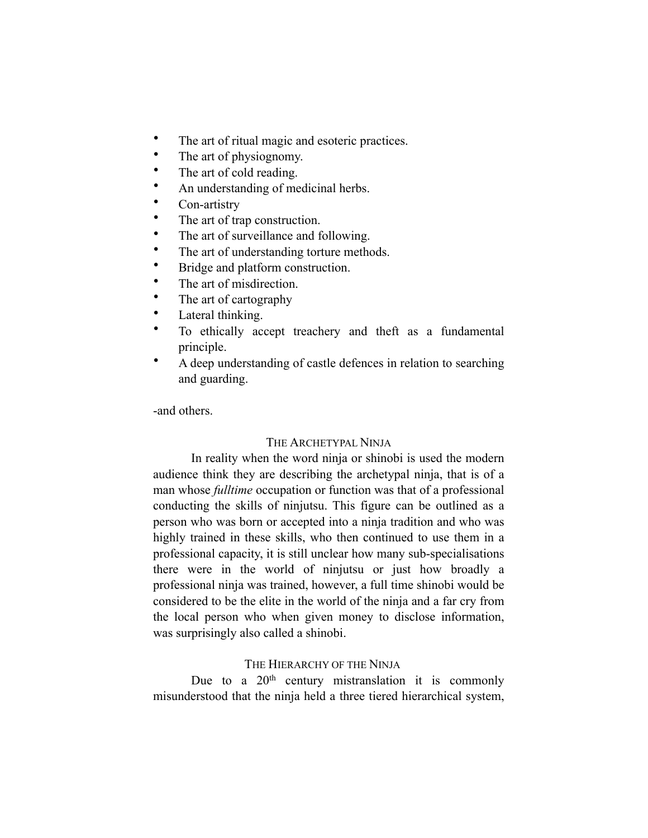- The art of ritual magic and esoteric practices.
- The art of physiognomy.
- The art of cold reading.
- An understanding of medicinal herbs.
- Con-artistry
- The art of trap construction.
- The art of surveillance and following.
- The art of understanding torture methods.
- Bridge and platform construction.
- The art of misdirection.
- The art of cartography
- Lateral thinking.
- To ethically accept treachery and theft as a fundamental principle.
- A deep understanding of castle defences in relation to searching and guarding.

-and others.

#### THE ARCHETYPAL NINJA

In reality when the word ninja or shinobi is used the modern audience think they are describing the archetypal ninja, that is of a man whose *fulltime* occupation or function was that of a professional conducting the skills of ninjutsu. This figure can be outlined as a person who was born or accepted into a ninja tradition and who was highly trained in these skills, who then continued to use them in a professional capacity, it is still unclear how many sub-specialisations there were in the world of ninjutsu or just how broadly a professional ninja was trained, however, a full time shinobi would be considered to be the elite in the world of the ninja and a far cry from the local person who when given money to disclose information, was surprisingly also called a shinobi.

#### THE HIERARCHY OF THE NINJA

Due to a  $20<sup>th</sup>$  century mistranslation it is commonly misunderstood that the ninja held a three tiered hierarchical system,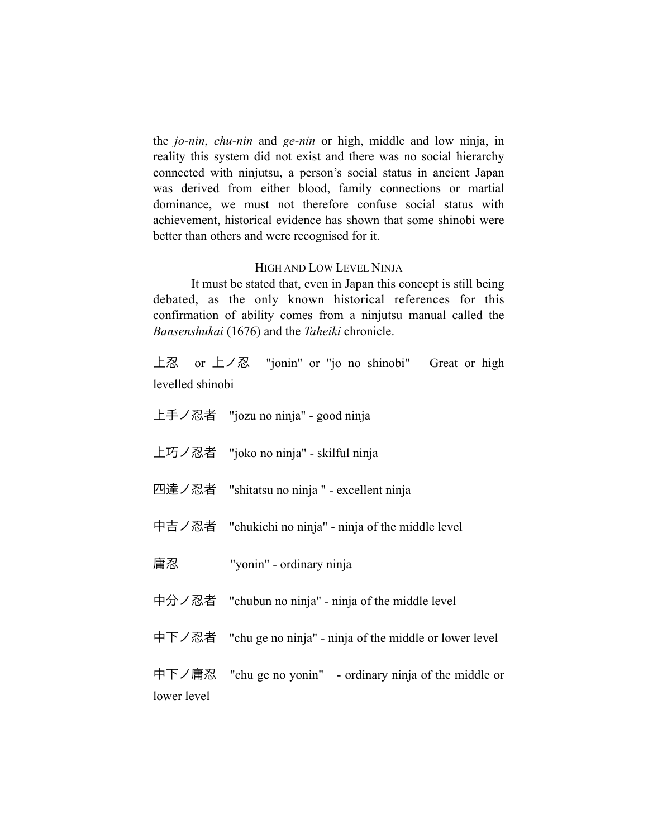the *jo-nin*, *chu-nin* and *ge-nin* or high, middle and low ninja, in reality this system did not exist and there was no social hierarchy connected with ninjutsu, a person's social status in ancient Japan was derived from either blood, family connections or martial dominance, we must not therefore confuse social status with achievement, historical evidence has shown that some shinobi were better than others and were recognised for it.

#### HIGH AND LOW LEVEL NINJA

It must be stated that, even in Japan this concept is still being debated, as the only known historical references for this confirmation of ability comes from a ninjutsu manual called the *Bansenshukai* (1676) and the *Taheiki* chronicle.

上忍 or 上ノ忍 "jonin" or "jo no shinobi" – Great or high levelled shinobi

- 上手ノ忍者 "jozu no ninja" good ninja
- 上巧ノ忍者 "joko no ninja" skilful ninja
- 四達ノ忍者 "shitatsu no ninja " excellent ninja
- 中吉ノ忍者 "chukichi no ninja" ninja of the middle level
- 庸忍 "yonin" ordinary ninja
- 中分ノ忍者 "chubun no ninja" ninja of the middle level
- 中下ノ忍者 "chu ge no ninja" ninja of the middle or lower level

中下ノ庸忍 "chu ge no yonin" - ordinary ninja of the middle or lower level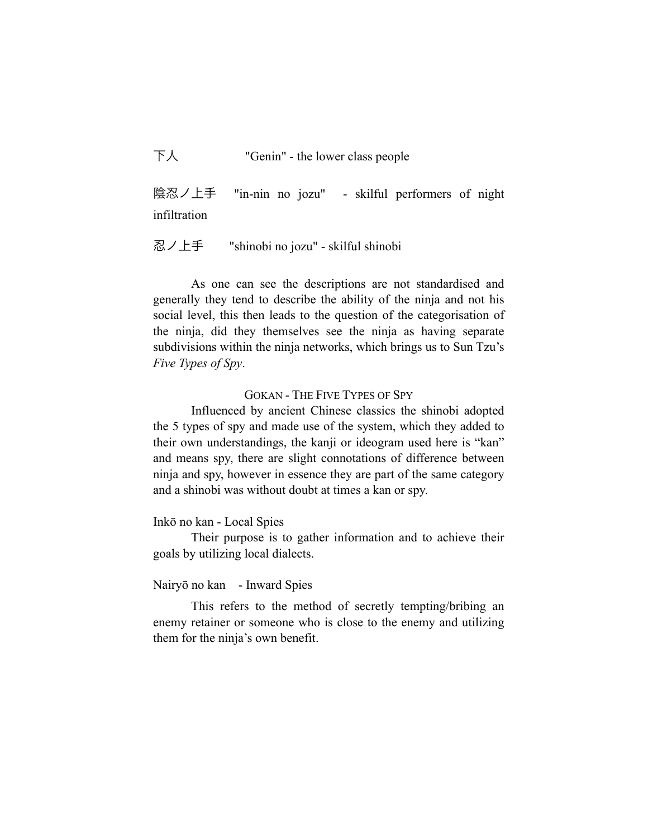下人 "Genin" - the lower class people

陰忍ノ上手 "in-nin no jozu" - skilful performers of night infiltration

忍ノ上手 "shinobi no jozu" - skilful shinobi

As one can see the descriptions are not standardised and generally they tend to describe the ability of the ninja and not his social level, this then leads to the question of the categorisation of the ninja, did they themselves see the ninja as having separate subdivisions within the ninja networks, which brings us to Sun Tzu's *Five Types of Spy*.

GOKAN - THE FIVE TYPES OF SPY

Influenced by ancient Chinese classics the shinobi adopted the 5 types of spy and made use of the system, which they added to their own understandings, the kanji or ideogram used here is "kan" and means spy, there are slight connotations of difference between ninja and spy, however in essence they are part of the same category and a shinobi was without doubt at times a kan or spy.

#### Inkō no kan - Local Spies

Their purpose is to gather information and to achieve their goals by utilizing local dialects.

## Nairyō no kan - Inward Spies

This refers to the method of secretly tempting/bribing an enemy retainer or someone who is close to the enemy and utilizing them for the ninja's own benefit.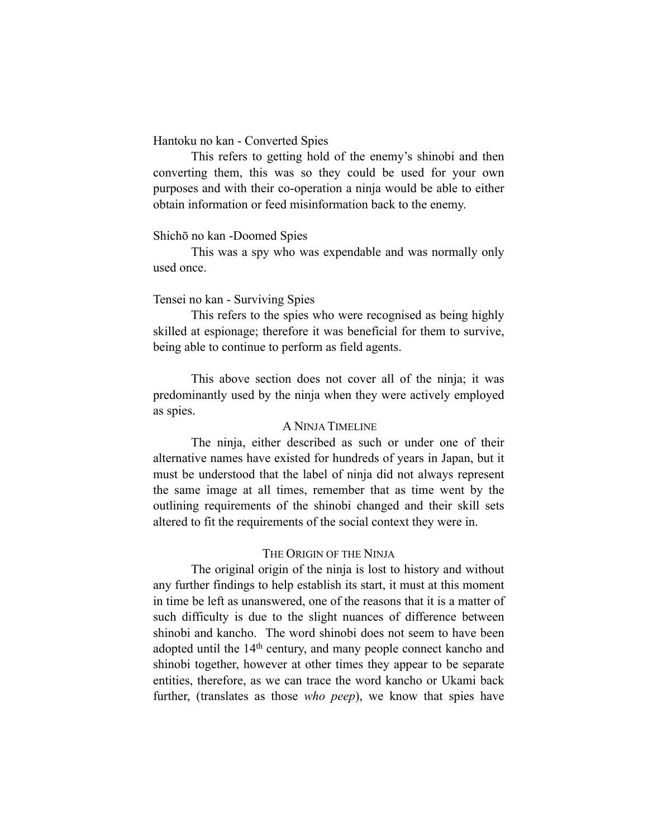#### Hantoku no kan - Converted Spies

This refers to getting hold of the enemy's shinobi and then converting them, this was so they could be used for your own purposes and with their co-operation a ninja would be able to either obtain information or feed misinformation back to the enemy.

#### Shichō no kan -Doomed Spies

This was a spy who was expendable and was normally only used once.

## Tensei no kan - Surviving Spies

This refers to the spies who were recognised as being highly skilled at espionage; therefore it was beneficial for them to survive, being able to continue to perform as field agents.

This above section does not cover all of the ninja; it was predominantly used by the ninja when they were actively employed as spies.

#### A NINJA TIMELINE

The ninja, either described as such or under one of their alternative names have existed for hundreds of years in Japan, but it must be understood that the label of ninja did not always represent the same image at all times, remember that as time went by the outlining requirements of the shinobi changed and their skill sets altered to fit the requirements of the social context they were in.

#### THE ORIGIN OF THE NINJA

The original origin of the ninja is lost to history and without any further findings to help establish its start, it must at this moment in time be left as unanswered, one of the reasons that it is a matter of such difficulty is due to the slight nuances of difference between shinobi and kancho. The word shinobi does not seem to have been adopted until the 14th century, and many people connect kancho and shinobi together, however at other times they appear to be separate entities, therefore, as we can trace the word kancho or Ukami back further, (translates as those *who peep*), we know that spies have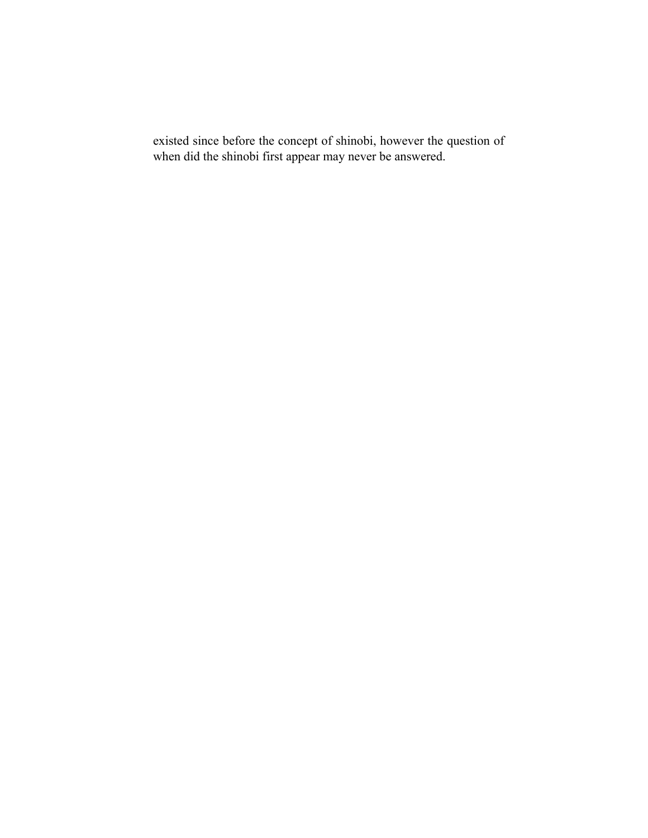existed since before the concept of shinobi, however the question of when did the shinobi first appear may never be answered.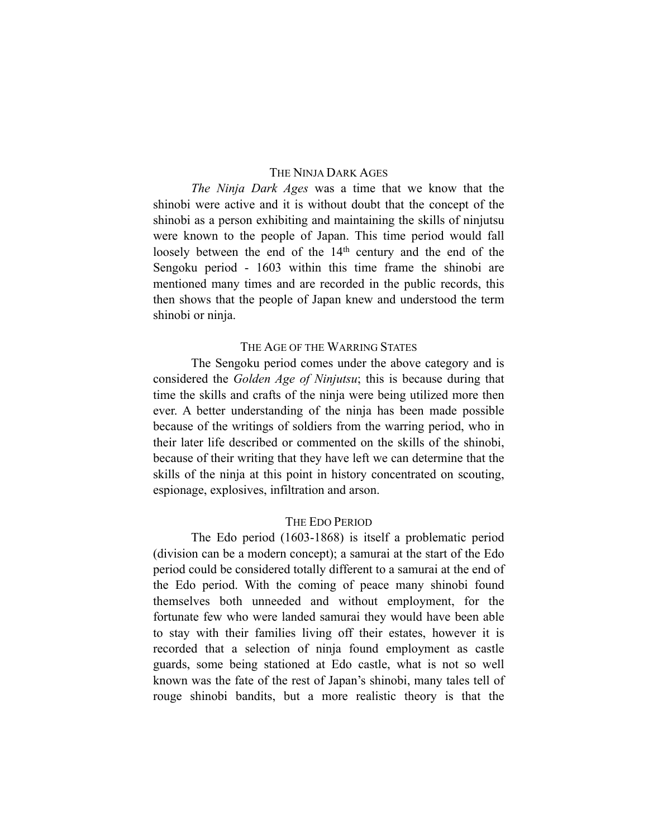#### THE NINJA DARK AGES

*The Ninja Dark Ages* was a time that we know that the shinobi were active and it is without doubt that the concept of the shinobi as a person exhibiting and maintaining the skills of ninjutsu were known to the people of Japan. This time period would fall loosely between the end of the 14<sup>th</sup> century and the end of the Sengoku period - 1603 within this time frame the shinobi are mentioned many times and are recorded in the public records, this then shows that the people of Japan knew and understood the term shinobi or ninja.

#### THE AGE OF THE WARRING STATES

The Sengoku period comes under the above category and is considered the *Golden Age of Ninjutsu*; this is because during that time the skills and crafts of the ninja were being utilized more then ever. A better understanding of the ninja has been made possible because of the writings of soldiers from the warring period, who in their later life described or commented on the skills of the shinobi, because of their writing that they have left we can determine that the skills of the ninja at this point in history concentrated on scouting, espionage, explosives, infiltration and arson.

#### THE EDO PERIOD

The Edo period (1603-1868) is itself a problematic period (division can be a modern concept); a samurai at the start of the Edo period could be considered totally different to a samurai at the end of the Edo period. With the coming of peace many shinobi found themselves both unneeded and without employment, for the fortunate few who were landed samurai they would have been able to stay with their families living off their estates, however it is recorded that a selection of ninja found employment as castle guards, some being stationed at Edo castle, what is not so well known was the fate of the rest of Japan's shinobi, many tales tell of rouge shinobi bandits, but a more realistic theory is that the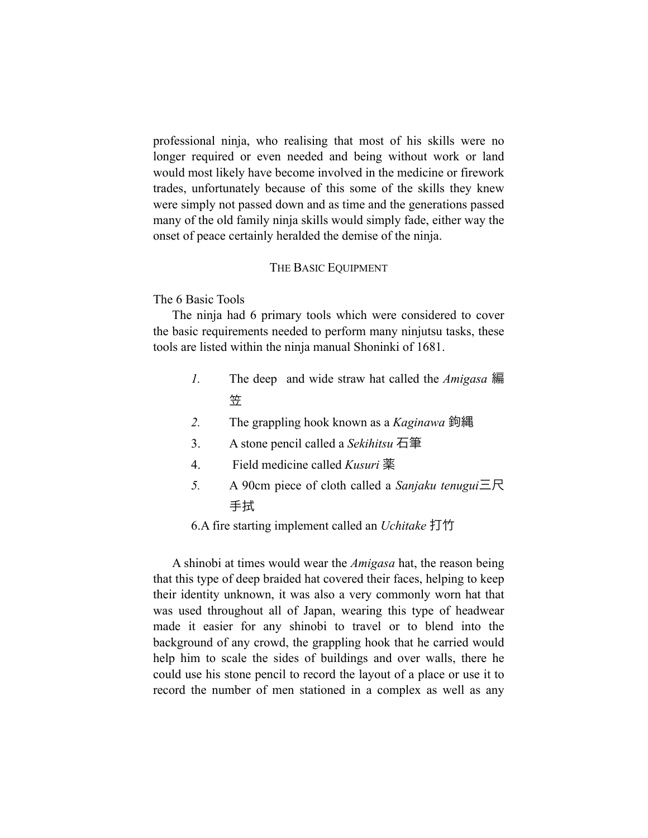professional ninja, who realising that most of his skills were no longer required or even needed and being without work or land would most likely have become involved in the medicine or firework trades, unfortunately because of this some of the skills they knew were simply not passed down and as time and the generations passed many of the old family ninja skills would simply fade, either way the onset of peace certainly heralded the demise of the ninja.

#### THE BASIC EQUIPMENT

The 6 Basic Tools

The ninja had 6 primary tools which were considered to cover the basic requirements needed to perform many ninjutsu tasks, these tools are listed within the ninja manual Shoninki of 1681.

- *1.* The deep and wide straw hat called the *Amigasa* 編 笠
- *2.* The grappling hook known as a *Kaginawa* 鉤縄
- 3. A stone pencil called a *Sekihitsu* 石筆
- 4. Field medicine called *Kusuri* 薬
- *5.* A 90cm piece of cloth called a *Sanjaku tenugui*三尺 手拭

6.A fire starting implement called an *Uchitake* 打竹

A shinobi at times would wear the *Amigasa* hat, the reason being that this type of deep braided hat covered their faces, helping to keep their identity unknown, it was also a very commonly worn hat that was used throughout all of Japan, wearing this type of headwear made it easier for any shinobi to travel or to blend into the background of any crowd, the grappling hook that he carried would help him to scale the sides of buildings and over walls, there he could use his stone pencil to record the layout of a place or use it to record the number of men stationed in a complex as well as any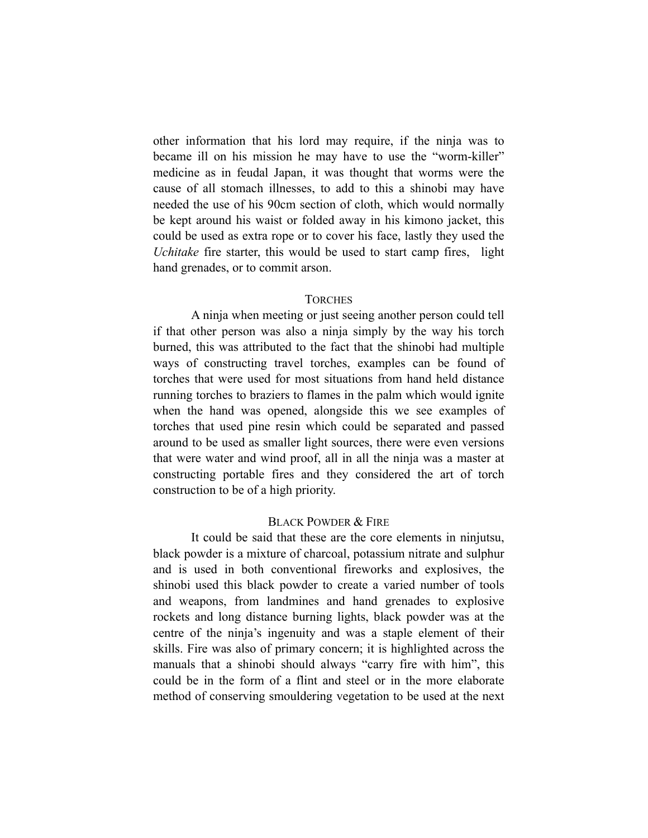other information that his lord may require, if the ninja was to became ill on his mission he may have to use the "worm-killer" medicine as in feudal Japan, it was thought that worms were the cause of all stomach illnesses, to add to this a shinobi may have needed the use of his 90cm section of cloth, which would normally be kept around his waist or folded away in his kimono jacket, this could be used as extra rope or to cover his face, lastly they used the *Uchitake* fire starter, this would be used to start camp fires, light hand grenades, or to commit arson.

#### **TORCHES**

A ninja when meeting or just seeing another person could tell if that other person was also a ninja simply by the way his torch burned, this was attributed to the fact that the shinobi had multiple ways of constructing travel torches, examples can be found of torches that were used for most situations from hand held distance running torches to braziers to flames in the palm which would ignite when the hand was opened, alongside this we see examples of torches that used pine resin which could be separated and passed around to be used as smaller light sources, there were even versions that were water and wind proof, all in all the ninja was a master at constructing portable fires and they considered the art of torch construction to be of a high priority.

#### BLACK POWDER & FIRE

It could be said that these are the core elements in ninjutsu, black powder is a mixture of charcoal, potassium nitrate and sulphur and is used in both conventional fireworks and explosives, the shinobi used this black powder to create a varied number of tools and weapons, from landmines and hand grenades to explosive rockets and long distance burning lights, black powder was at the centre of the ninja's ingenuity and was a staple element of their skills. Fire was also of primary concern; it is highlighted across the manuals that a shinobi should always "carry fire with him", this could be in the form of a flint and steel or in the more elaborate method of conserving smouldering vegetation to be used at the next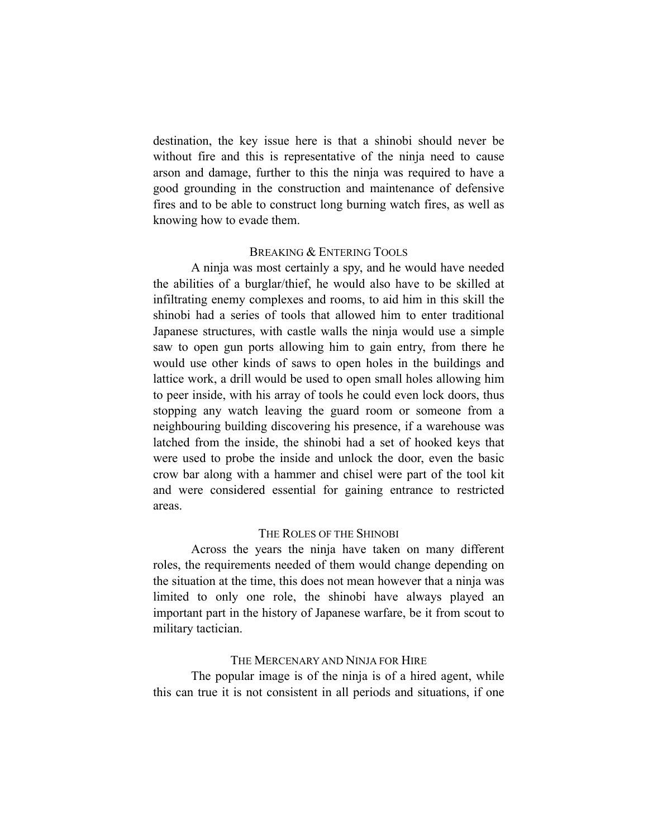destination, the key issue here is that a shinobi should never be without fire and this is representative of the ninja need to cause arson and damage, further to this the ninja was required to have a good grounding in the construction and maintenance of defensive fires and to be able to construct long burning watch fires, as well as knowing how to evade them.

#### BREAKING & ENTERING TOOLS

A ninja was most certainly a spy, and he would have needed the abilities of a burglar/thief, he would also have to be skilled at infiltrating enemy complexes and rooms, to aid him in this skill the shinobi had a series of tools that allowed him to enter traditional Japanese structures, with castle walls the ninja would use a simple saw to open gun ports allowing him to gain entry, from there he would use other kinds of saws to open holes in the buildings and lattice work, a drill would be used to open small holes allowing him to peer inside, with his array of tools he could even lock doors, thus stopping any watch leaving the guard room or someone from a neighbouring building discovering his presence, if a warehouse was latched from the inside, the shinobi had a set of hooked keys that were used to probe the inside and unlock the door, even the basic crow bar along with a hammer and chisel were part of the tool kit and were considered essential for gaining entrance to restricted areas.

#### THE ROLES OF THE SHINOBI

Across the years the ninja have taken on many different roles, the requirements needed of them would change depending on the situation at the time, this does not mean however that a ninja was limited to only one role, the shinobi have always played an important part in the history of Japanese warfare, be it from scout to military tactician.

#### THE MERCENARY AND NINJA FOR HIRE

The popular image is of the ninja is of a hired agent, while this can true it is not consistent in all periods and situations, if one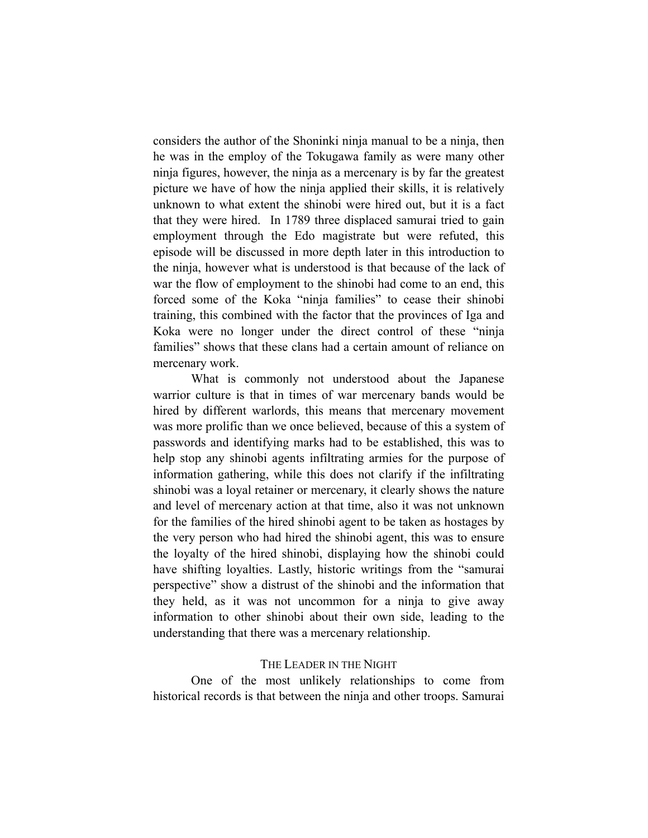considers the author of the Shoninki ninja manual to be a ninja, then he was in the employ of the Tokugawa family as were many other ninja figures, however, the ninja as a mercenary is by far the greatest picture we have of how the ninja applied their skills, it is relatively unknown to what extent the shinobi were hired out, but it is a fact that they were hired. In 1789 three displaced samurai tried to gain employment through the Edo magistrate but were refuted, this episode will be discussed in more depth later in this introduction to the ninja, however what is understood is that because of the lack of war the flow of employment to the shinobi had come to an end, this forced some of the Koka "ninja families" to cease their shinobi training, this combined with the factor that the provinces of Iga and Koka were no longer under the direct control of these "ninja families" shows that these clans had a certain amount of reliance on mercenary work.

What is commonly not understood about the Japanese warrior culture is that in times of war mercenary bands would be hired by different warlords, this means that mercenary movement was more prolific than we once believed, because of this a system of passwords and identifying marks had to be established, this was to help stop any shinobi agents infiltrating armies for the purpose of information gathering, while this does not clarify if the infiltrating shinobi was a loyal retainer or mercenary, it clearly shows the nature and level of mercenary action at that time, also it was not unknown for the families of the hired shinobi agent to be taken as hostages by the very person who had hired the shinobi agent, this was to ensure the loyalty of the hired shinobi, displaying how the shinobi could have shifting loyalties. Lastly, historic writings from the "samurai perspective" show a distrust of the shinobi and the information that they held, as it was not uncommon for a ninja to give away information to other shinobi about their own side, leading to the understanding that there was a mercenary relationship.

#### THE LEADER IN THE NIGHT

One of the most unlikely relationships to come from historical records is that between the ninja and other troops. Samurai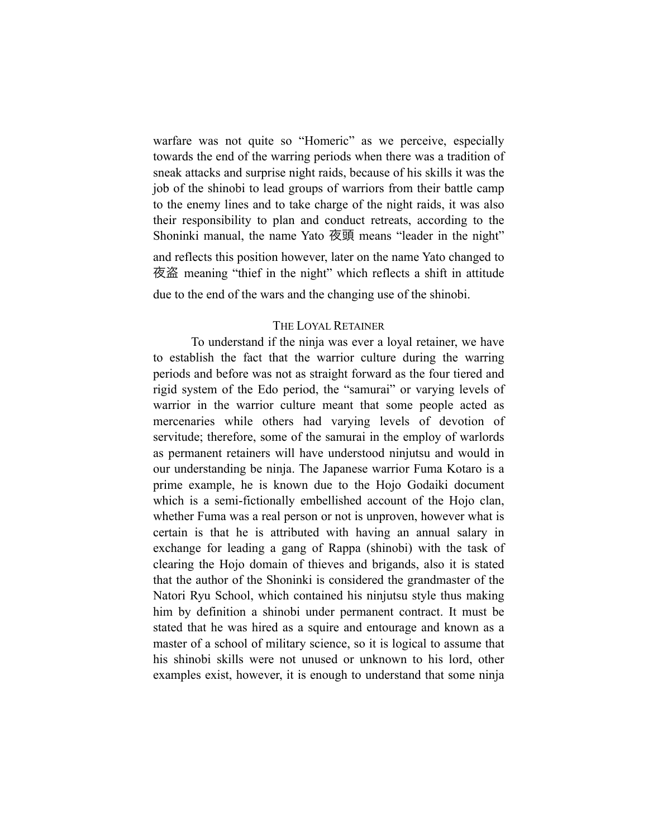warfare was not quite so "Homeric" as we perceive, especially towards the end of the warring periods when there was a tradition of sneak attacks and surprise night raids, because of his skills it was the job of the shinobi to lead groups of warriors from their battle camp to the enemy lines and to take charge of the night raids, it was also their responsibility to plan and conduct retreats, according to the Shoninki manual, the name Yato 夜頭 means "leader in the night" and reflects this position however, later on the name Yato changed to 夜盗 meaning "thief in the night" which reflects a shift in attitude due to the end of the wars and the changing use of the shinobi.

#### THE LOYAL RETAINER

To understand if the ninja was ever a loyal retainer, we have to establish the fact that the warrior culture during the warring periods and before was not as straight forward as the four tiered and rigid system of the Edo period, the "samurai" or varying levels of warrior in the warrior culture meant that some people acted as mercenaries while others had varying levels of devotion of servitude; therefore, some of the samurai in the employ of warlords as permanent retainers will have understood ninjutsu and would in our understanding be ninja. The Japanese warrior Fuma Kotaro is a prime example, he is known due to the Hojo Godaiki document which is a semi-fictionally embellished account of the Hojo clan, whether Fuma was a real person or not is unproven, however what is certain is that he is attributed with having an annual salary in exchange for leading a gang of Rappa (shinobi) with the task of clearing the Hojo domain of thieves and brigands, also it is stated that the author of the Shoninki is considered the grandmaster of the Natori Ryu School, which contained his ninjutsu style thus making him by definition a shinobi under permanent contract. It must be stated that he was hired as a squire and entourage and known as a master of a school of military science, so it is logical to assume that his shinobi skills were not unused or unknown to his lord, other examples exist, however, it is enough to understand that some ninja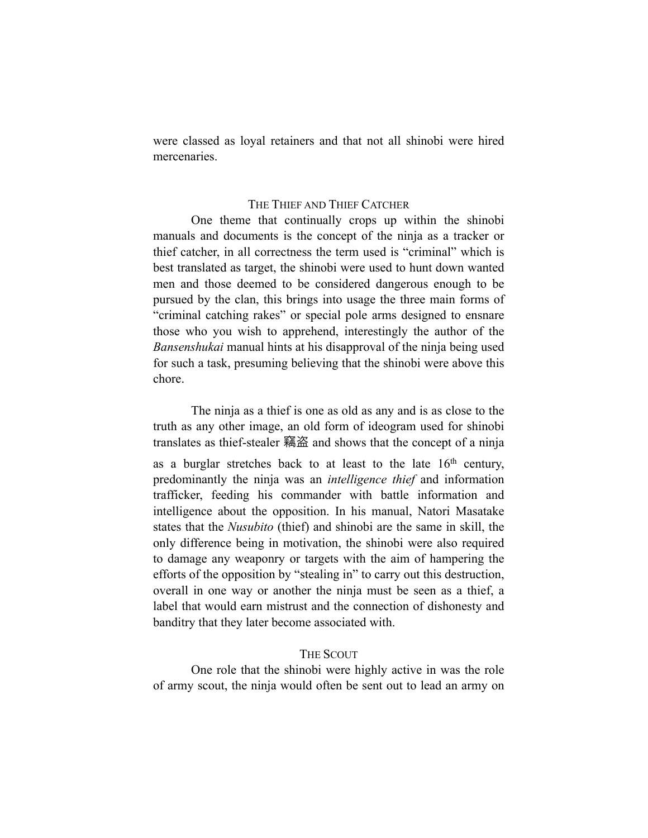were classed as loyal retainers and that not all shinobi were hired mercenaries.

#### THE THIEF AND THIEF CATCHER

One theme that continually crops up within the shinobi manuals and documents is the concept of the ninja as a tracker or thief catcher, in all correctness the term used is "criminal" which is best translated as target, the shinobi were used to hunt down wanted men and those deemed to be considered dangerous enough to be pursued by the clan, this brings into usage the three main forms of "criminal catching rakes" or special pole arms designed to ensnare those who you wish to apprehend, interestingly the author of the *Bansenshukai* manual hints at his disapproval of the ninja being used for such a task, presuming believing that the shinobi were above this chore.

The ninja as a thief is one as old as any and is as close to the truth as any other image, an old form of ideogram used for shinobi translates as thief-stealer 竊盗 and shows that the concept of a ninja as a burglar stretches back to at least to the late  $16<sup>th</sup>$  century, predominantly the ninja was an *intelligence thief* and information trafficker, feeding his commander with battle information and intelligence about the opposition. In his manual, Natori Masatake states that the *Nusubito* (thief) and shinobi are the same in skill, the only difference being in motivation, the shinobi were also required to damage any weaponry or targets with the aim of hampering the efforts of the opposition by "stealing in" to carry out this destruction, overall in one way or another the ninja must be seen as a thief, a label that would earn mistrust and the connection of dishonesty and banditry that they later become associated with.

#### THE SCOUT

One role that the shinobi were highly active in was the role of army scout, the ninja would often be sent out to lead an army on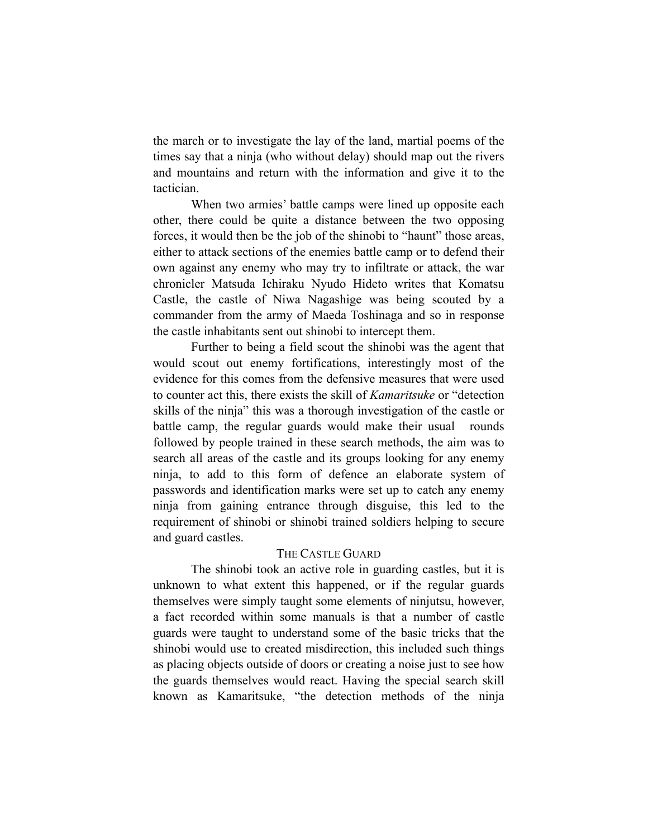the march or to investigate the lay of the land, martial poems of the times say that a ninja (who without delay) should map out the rivers and mountains and return with the information and give it to the tactician.

When two armies' battle camps were lined up opposite each other, there could be quite a distance between the two opposing forces, it would then be the job of the shinobi to "haunt" those areas, either to attack sections of the enemies battle camp or to defend their own against any enemy who may try to infiltrate or attack, the war chronicler Matsuda Ichiraku Nyudo Hideto writes that Komatsu Castle, the castle of Niwa Nagashige was being scouted by a commander from the army of Maeda Toshinaga and so in response the castle inhabitants sent out shinobi to intercept them.

Further to being a field scout the shinobi was the agent that would scout out enemy fortifications, interestingly most of the evidence for this comes from the defensive measures that were used to counter act this, there exists the skill of *Kamaritsuke* or "detection skills of the ninja" this was a thorough investigation of the castle or battle camp, the regular guards would make their usual rounds followed by people trained in these search methods, the aim was to search all areas of the castle and its groups looking for any enemy ninja, to add to this form of defence an elaborate system of passwords and identification marks were set up to catch any enemy ninja from gaining entrance through disguise, this led to the requirement of shinobi or shinobi trained soldiers helping to secure and guard castles.

#### THE CASTLE GUARD

The shinobi took an active role in guarding castles, but it is unknown to what extent this happened, or if the regular guards themselves were simply taught some elements of ninjutsu, however, a fact recorded within some manuals is that a number of castle guards were taught to understand some of the basic tricks that the shinobi would use to created misdirection, this included such things as placing objects outside of doors or creating a noise just to see how the guards themselves would react. Having the special search skill known as Kamaritsuke, "the detection methods of the ninja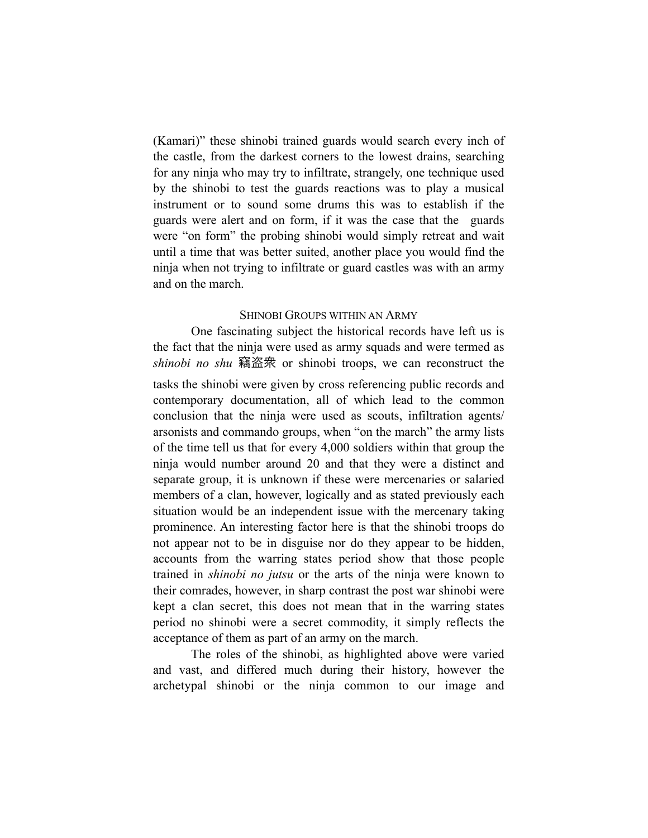(Kamari)" these shinobi trained guards would search every inch of the castle, from the darkest corners to the lowest drains, searching for any ninja who may try to infiltrate, strangely, one technique used by the shinobi to test the guards reactions was to play a musical instrument or to sound some drums this was to establish if the guards were alert and on form, if it was the case that the guards were "on form" the probing shinobi would simply retreat and wait until a time that was better suited, another place you would find the ninja when not trying to infiltrate or guard castles was with an army and on the march.

#### SHINOBI GROUPS WITHIN AN ARMY

One fascinating subject the historical records have left us is the fact that the ninja were used as army squads and were termed as *shinobi no shu* 竊盗衆 or shinobi troops, we can reconstruct the tasks the shinobi were given by cross referencing public records and contemporary documentation, all of which lead to the common conclusion that the ninja were used as scouts, infiltration agents/ arsonists and commando groups, when "on the march" the army lists of the time tell us that for every 4,000 soldiers within that group the ninja would number around 20 and that they were a distinct and separate group, it is unknown if these were mercenaries or salaried members of a clan, however, logically and as stated previously each situation would be an independent issue with the mercenary taking prominence. An interesting factor here is that the shinobi troops do not appear not to be in disguise nor do they appear to be hidden, accounts from the warring states period show that those people trained in *shinobi no jutsu* or the arts of the ninja were known to their comrades, however, in sharp contrast the post war shinobi were kept a clan secret, this does not mean that in the warring states period no shinobi were a secret commodity, it simply reflects the acceptance of them as part of an army on the march.

The roles of the shinobi, as highlighted above were varied and vast, and differed much during their history, however the archetypal shinobi or the ninja common to our image and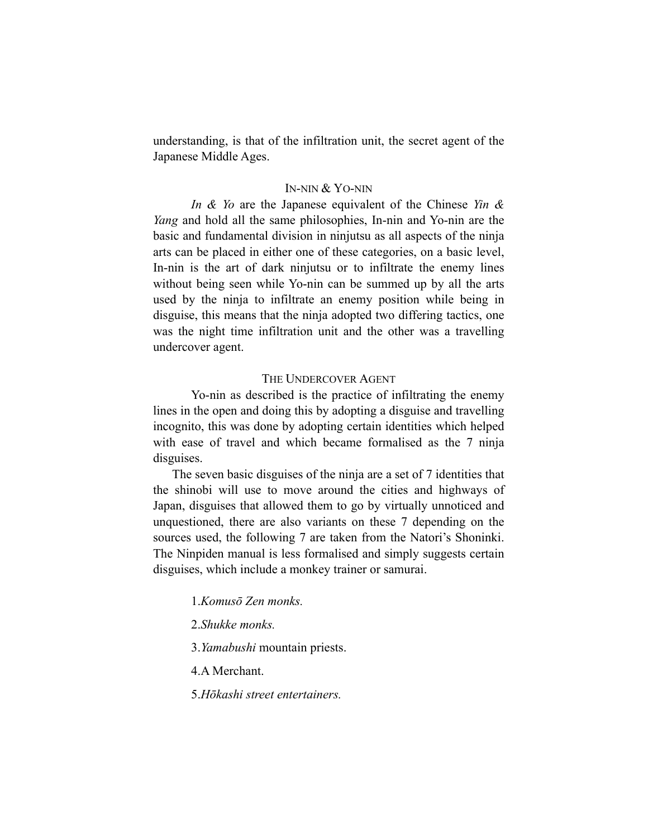understanding, is that of the infiltration unit, the secret agent of the Japanese Middle Ages.

#### IN-NIN & YO-NIN

*In & Yo* are the Japanese equivalent of the Chinese *Yin & Yang* and hold all the same philosophies, In-nin and Yo-nin are the basic and fundamental division in ninjutsu as all aspects of the ninja arts can be placed in either one of these categories, on a basic level, In-nin is the art of dark ninjutsu or to infiltrate the enemy lines without being seen while Yo-nin can be summed up by all the arts used by the ninja to infiltrate an enemy position while being in disguise, this means that the ninja adopted two differing tactics, one was the night time infiltration unit and the other was a travelling undercover agent.

#### THE UNDERCOVER AGENT

Yo-nin as described is the practice of infiltrating the enemy lines in the open and doing this by adopting a disguise and travelling incognito, this was done by adopting certain identities which helped with ease of travel and which became formalised as the 7 ninja disguises.

The seven basic disguises of the ninja are a set of 7 identities that the shinobi will use to move around the cities and highways of Japan, disguises that allowed them to go by virtually unnoticed and unquestioned, there are also variants on these 7 depending on the sources used, the following 7 are taken from the Natori's Shoninki. The Ninpiden manual is less formalised and simply suggests certain disguises, which include a monkey trainer or samurai.

1.*Komusō Zen monks.*

2.*Shukke monks.* 

3.*Yamabushi* mountain priests.

4.A Merchant.

5.*Hōkashi street entertainers.*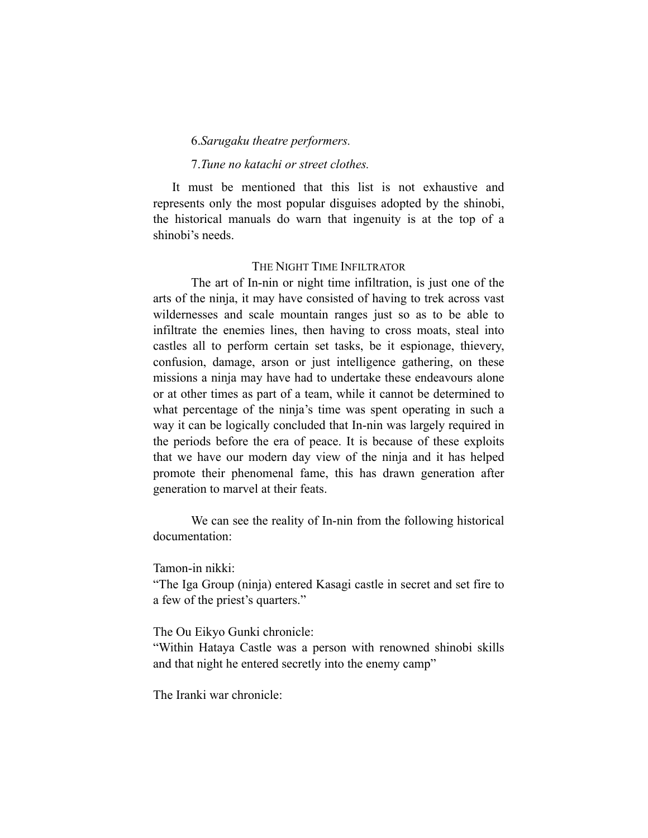#### 6.*Sarugaku theatre performers.*

#### 7.*Tune no katachi or street clothes.*

It must be mentioned that this list is not exhaustive and represents only the most popular disguises adopted by the shinobi, the historical manuals do warn that ingenuity is at the top of a shinobi's needs.

#### THE NIGHT TIME INFILTRATOR

The art of In-nin or night time infiltration, is just one of the arts of the ninja, it may have consisted of having to trek across vast wildernesses and scale mountain ranges just so as to be able to infiltrate the enemies lines, then having to cross moats, steal into castles all to perform certain set tasks, be it espionage, thievery, confusion, damage, arson or just intelligence gathering, on these missions a ninja may have had to undertake these endeavours alone or at other times as part of a team, while it cannot be determined to what percentage of the ninja's time was spent operating in such a way it can be logically concluded that In-nin was largely required in the periods before the era of peace. It is because of these exploits that we have our modern day view of the ninja and it has helped promote their phenomenal fame, this has drawn generation after generation to marvel at their feats.

We can see the reality of In-nin from the following historical documentation:

Tamon-in nikki:

"The Iga Group (ninja) entered Kasagi castle in secret and set fire to a few of the priest's quarters."

The Ou Eikyo Gunki chronicle:

"Within Hataya Castle was a person with renowned shinobi skills and that night he entered secretly into the enemy camp"

The Iranki war chronicle: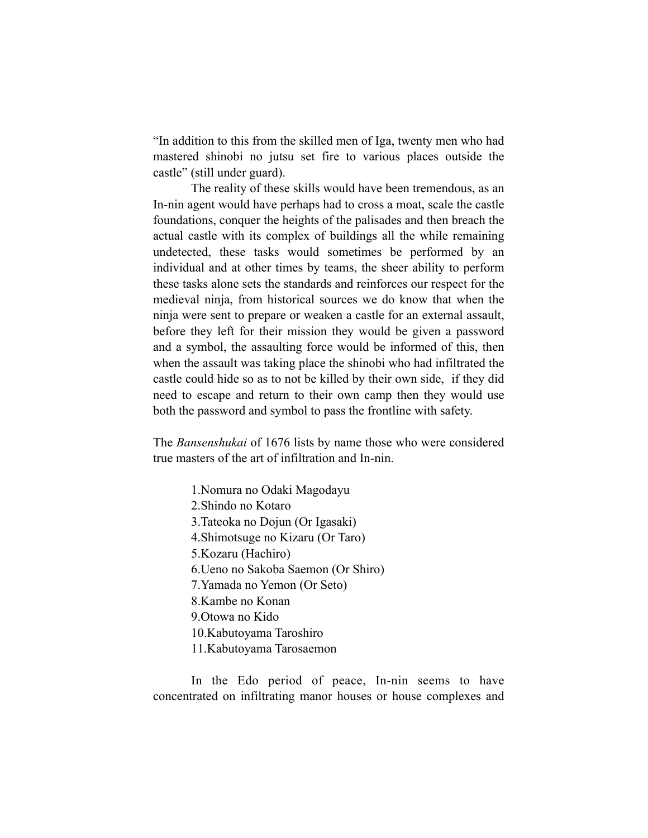"In addition to this from the skilled men of Iga, twenty men who had mastered shinobi no jutsu set fire to various places outside the castle" (still under guard).

The reality of these skills would have been tremendous, as an In-nin agent would have perhaps had to cross a moat, scale the castle foundations, conquer the heights of the palisades and then breach the actual castle with its complex of buildings all the while remaining undetected, these tasks would sometimes be performed by an individual and at other times by teams, the sheer ability to perform these tasks alone sets the standards and reinforces our respect for the medieval ninja, from historical sources we do know that when the ninja were sent to prepare or weaken a castle for an external assault, before they left for their mission they would be given a password and a symbol, the assaulting force would be informed of this, then when the assault was taking place the shinobi who had infiltrated the castle could hide so as to not be killed by their own side, if they did need to escape and return to their own camp then they would use both the password and symbol to pass the frontline with safety.

The *Bansenshukai* of 1676 lists by name those who were considered true masters of the art of infiltration and In-nin.

> 1.Nomura no Odaki Magodayu 2.Shindo no Kotaro 3.Tateoka no Dojun (Or Igasaki) 4.Shimotsuge no Kizaru (Or Taro) 5.Kozaru (Hachiro) 6.Ueno no Sakoba Saemon (Or Shiro) 7.Yamada no Yemon (Or Seto) 8.Kambe no Konan 9.Otowa no Kido 10.Kabutoyama Taroshiro 11.Kabutoyama Tarosaemon

In the Edo period of peace, In-nin seems to have concentrated on infiltrating manor houses or house complexes and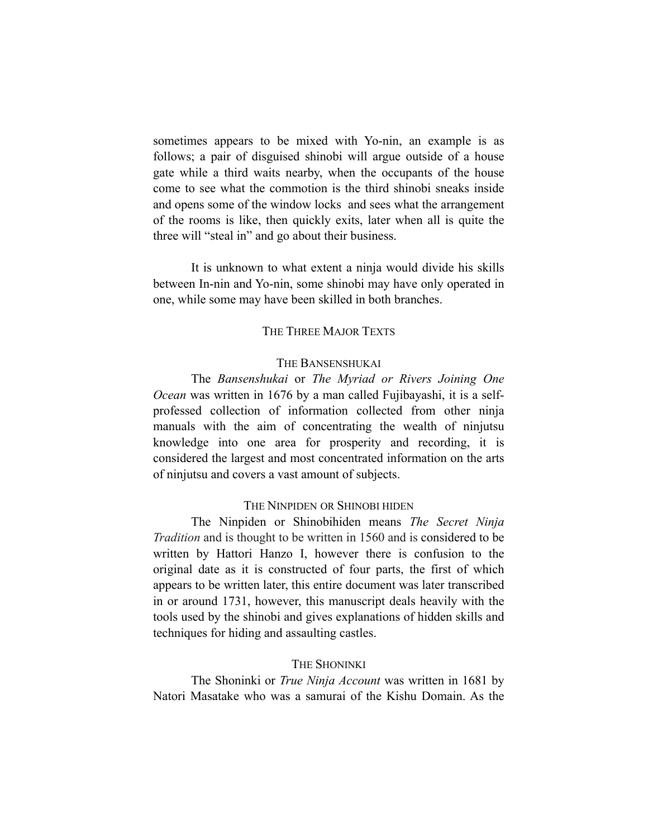sometimes appears to be mixed with Yo-nin, an example is as follows; a pair of disguised shinobi will argue outside of a house gate while a third waits nearby, when the occupants of the house come to see what the commotion is the third shinobi sneaks inside and opens some of the window locks and sees what the arrangement of the rooms is like, then quickly exits, later when all is quite the three will "steal in" and go about their business.

It is unknown to what extent a ninja would divide his skills between In-nin and Yo-nin, some shinobi may have only operated in one, while some may have been skilled in both branches.

#### THE THREE MAJOR TEXTS

#### THE BANSENSHUKAI

The *Bansenshukai* or *The Myriad or Rivers Joining One Ocean* was written in 1676 by a man called Fujibayashi, it is a selfprofessed collection of information collected from other ninja manuals with the aim of concentrating the wealth of ninjutsu knowledge into one area for prosperity and recording, it is considered the largest and most concentrated information on the arts of ninjutsu and covers a vast amount of subjects.

#### THE NINPIDEN OR SHINOBI HIDEN

The Ninpiden or Shinobihiden means *The Secret Ninja Tradition* and is thought to be written in 1560 and is considered to be written by Hattori Hanzo I, however there is confusion to the original date as it is constructed of four parts, the first of which appears to be written later, this entire document was later transcribed in or around 1731, however, this manuscript deals heavily with the tools used by the shinobi and gives explanations of hidden skills and techniques for hiding and assaulting castles.

#### THE SHONINKI

The Shoninki or *True Ninja Account* was written in 1681 by Natori Masatake who was a samurai of the Kishu Domain. As the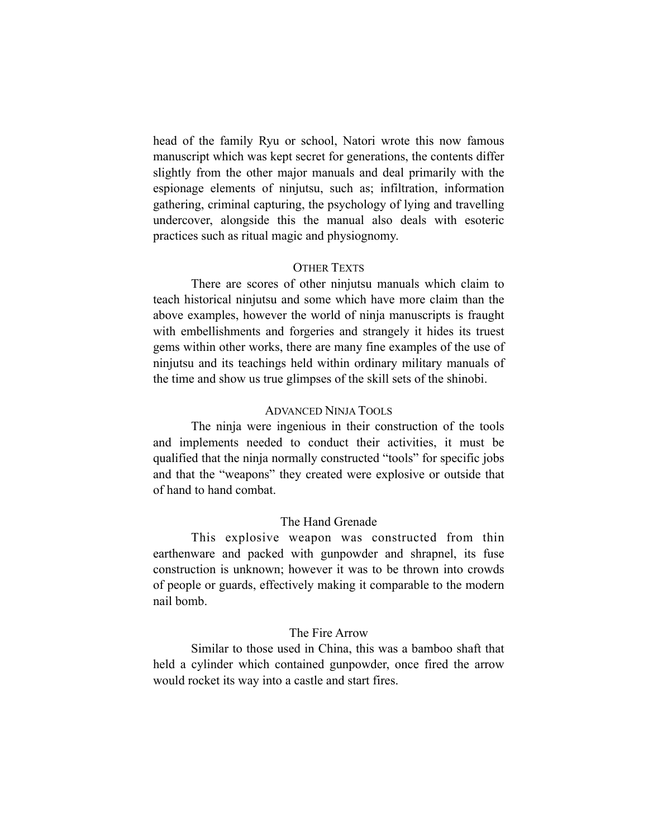head of the family Ryu or school, Natori wrote this now famous manuscript which was kept secret for generations, the contents differ slightly from the other major manuals and deal primarily with the espionage elements of ninjutsu, such as; infiltration, information gathering, criminal capturing, the psychology of lying and travelling undercover, alongside this the manual also deals with esoteric practices such as ritual magic and physiognomy.

#### OTHER TEXTS

There are scores of other ninjutsu manuals which claim to teach historical ninjutsu and some which have more claim than the above examples, however the world of ninja manuscripts is fraught with embellishments and forgeries and strangely it hides its truest gems within other works, there are many fine examples of the use of ninjutsu and its teachings held within ordinary military manuals of the time and show us true glimpses of the skill sets of the shinobi.

#### ADVANCED NINJA TOOLS

The ninja were ingenious in their construction of the tools and implements needed to conduct their activities, it must be qualified that the ninja normally constructed "tools" for specific jobs and that the "weapons" they created were explosive or outside that of hand to hand combat.

#### The Hand Grenade

This explosive weapon was constructed from thin earthenware and packed with gunpowder and shrapnel, its fuse construction is unknown; however it was to be thrown into crowds of people or guards, effectively making it comparable to the modern nail bomb.

#### The Fire Arrow

Similar to those used in China, this was a bamboo shaft that held a cylinder which contained gunpowder, once fired the arrow would rocket its way into a castle and start fires.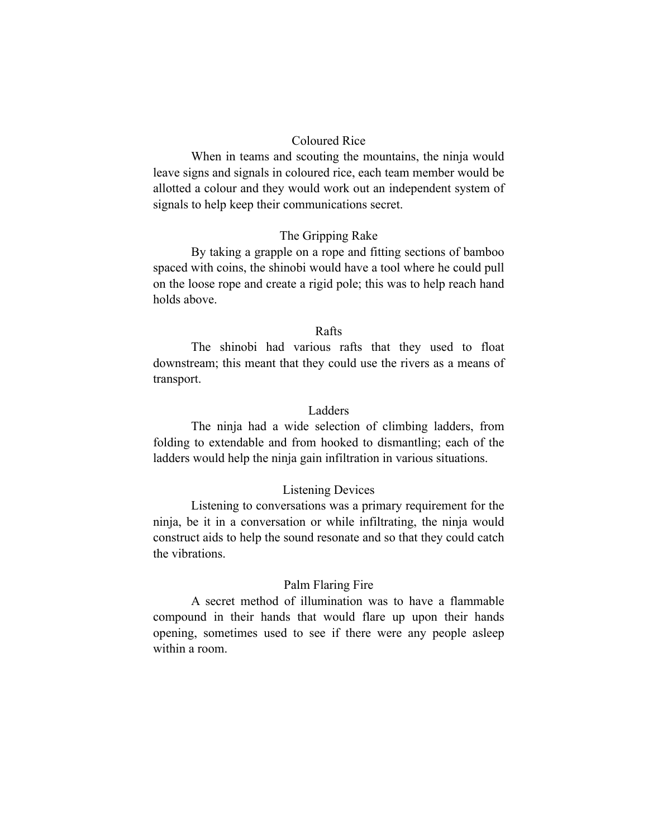#### Coloured Rice

When in teams and scouting the mountains, the ninja would leave signs and signals in coloured rice, each team member would be allotted a colour and they would work out an independent system of signals to help keep their communications secret.

#### The Gripping Rake

By taking a grapple on a rope and fitting sections of bamboo spaced with coins, the shinobi would have a tool where he could pull on the loose rope and create a rigid pole; this was to help reach hand holds above.

#### Rafts

The shinobi had various rafts that they used to float downstream; this meant that they could use the rivers as a means of transport.

#### Ladders

The ninja had a wide selection of climbing ladders, from folding to extendable and from hooked to dismantling; each of the ladders would help the ninja gain infiltration in various situations.

#### Listening Devices

Listening to conversations was a primary requirement for the ninja, be it in a conversation or while infiltrating, the ninja would construct aids to help the sound resonate and so that they could catch the vibrations.

#### Palm Flaring Fire

A secret method of illumination was to have a flammable compound in their hands that would flare up upon their hands opening, sometimes used to see if there were any people asleep within a room.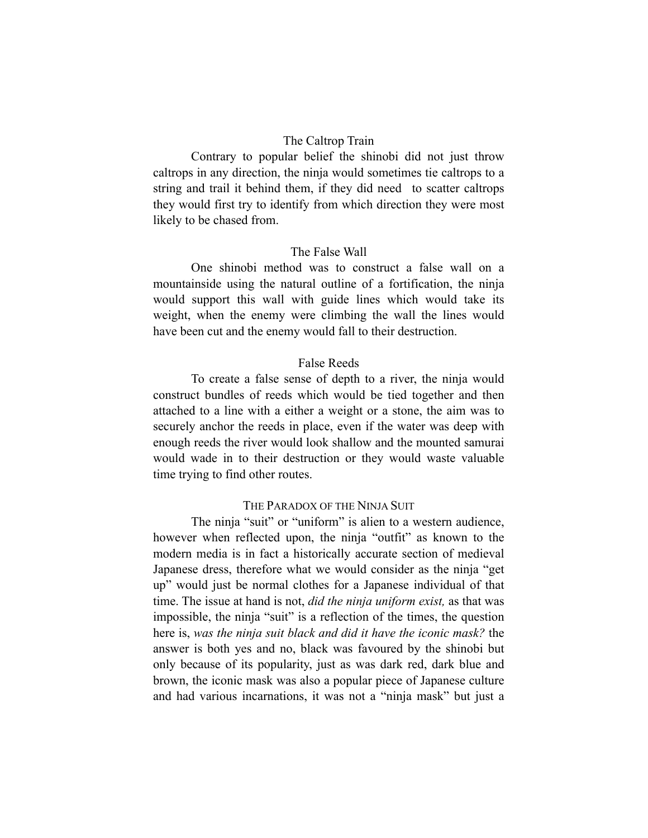#### The Caltrop Train

Contrary to popular belief the shinobi did not just throw caltrops in any direction, the ninja would sometimes tie caltrops to a string and trail it behind them, if they did need to scatter caltrops they would first try to identify from which direction they were most likely to be chased from.

#### The False Wall

One shinobi method was to construct a false wall on a mountainside using the natural outline of a fortification, the ninja would support this wall with guide lines which would take its weight, when the enemy were climbing the wall the lines would have been cut and the enemy would fall to their destruction.

#### False Reeds

To create a false sense of depth to a river, the ninja would construct bundles of reeds which would be tied together and then attached to a line with a either a weight or a stone, the aim was to securely anchor the reeds in place, even if the water was deep with enough reeds the river would look shallow and the mounted samurai would wade in to their destruction or they would waste valuable time trying to find other routes.

#### THE PARADOX OF THE NINJA SUIT

The ninja "suit" or "uniform" is alien to a western audience, however when reflected upon, the ninja "outfit" as known to the modern media is in fact a historically accurate section of medieval Japanese dress, therefore what we would consider as the ninja "get up" would just be normal clothes for a Japanese individual of that time. The issue at hand is not, *did the ninja uniform exist,* as that was impossible, the ninja "suit" is a reflection of the times, the question here is, *was the ninja suit black and did it have the iconic mask?* the answer is both yes and no, black was favoured by the shinobi but only because of its popularity, just as was dark red, dark blue and brown, the iconic mask was also a popular piece of Japanese culture and had various incarnations, it was not a "ninja mask" but just a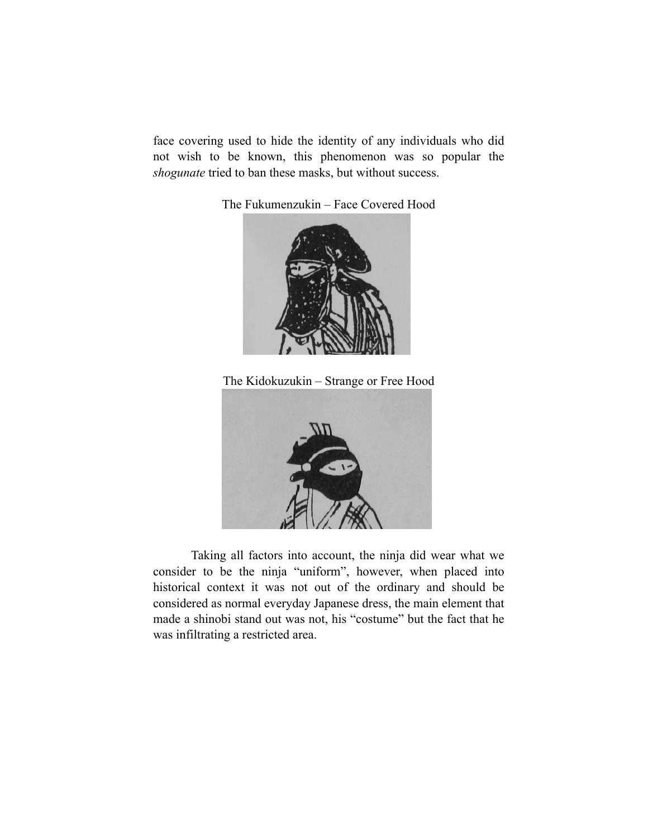face covering used to hide the identity of any individuals who did not wish to be known, this phenomenon was so popular the *shogunate* tried to ban these masks, but without success.

The Fukumenzukin – Face Covered Hood



The Kidokuzukin – Strange or Free Hood



Taking all factors into account, the ninja did wear what we consider to be the ninja "uniform", however, when placed into historical context it was not out of the ordinary and should be considered as normal everyday Japanese dress, the main element that made a shinobi stand out was not, his "costume" but the fact that he was infiltrating a restricted area.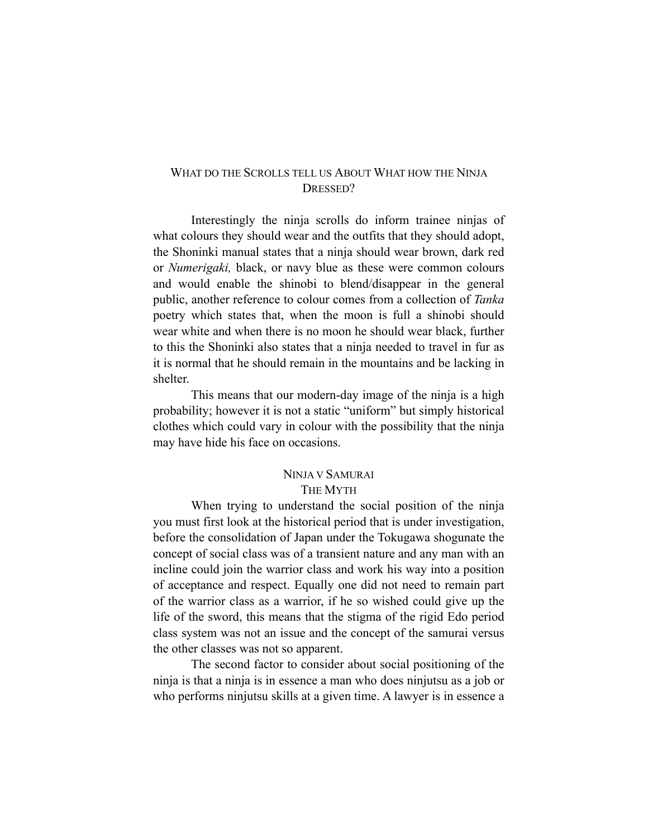#### WHAT DO THE SCROLLS TELL US ABOUT WHAT HOW THE NINJA DRESSED?

Interestingly the ninja scrolls do inform trainee ninjas of what colours they should wear and the outfits that they should adopt, the Shoninki manual states that a ninja should wear brown, dark red or *Numerigaki,* black, or navy blue as these were common colours and would enable the shinobi to blend/disappear in the general public, another reference to colour comes from a collection of *Tanka* poetry which states that, when the moon is full a shinobi should wear white and when there is no moon he should wear black, further to this the Shoninki also states that a ninja needed to travel in fur as it is normal that he should remain in the mountains and be lacking in shelter.

This means that our modern-day image of the ninja is a high probability; however it is not a static "uniform" but simply historical clothes which could vary in colour with the possibility that the ninja may have hide his face on occasions.

#### NINJA V SAMURAI THE MYTH

When trying to understand the social position of the ninja you must first look at the historical period that is under investigation, before the consolidation of Japan under the Tokugawa shogunate the concept of social class was of a transient nature and any man with an incline could join the warrior class and work his way into a position of acceptance and respect. Equally one did not need to remain part of the warrior class as a warrior, if he so wished could give up the life of the sword, this means that the stigma of the rigid Edo period class system was not an issue and the concept of the samurai versus the other classes was not so apparent.

The second factor to consider about social positioning of the ninja is that a ninja is in essence a man who does ninjutsu as a job or who performs ninjutsu skills at a given time. A lawyer is in essence a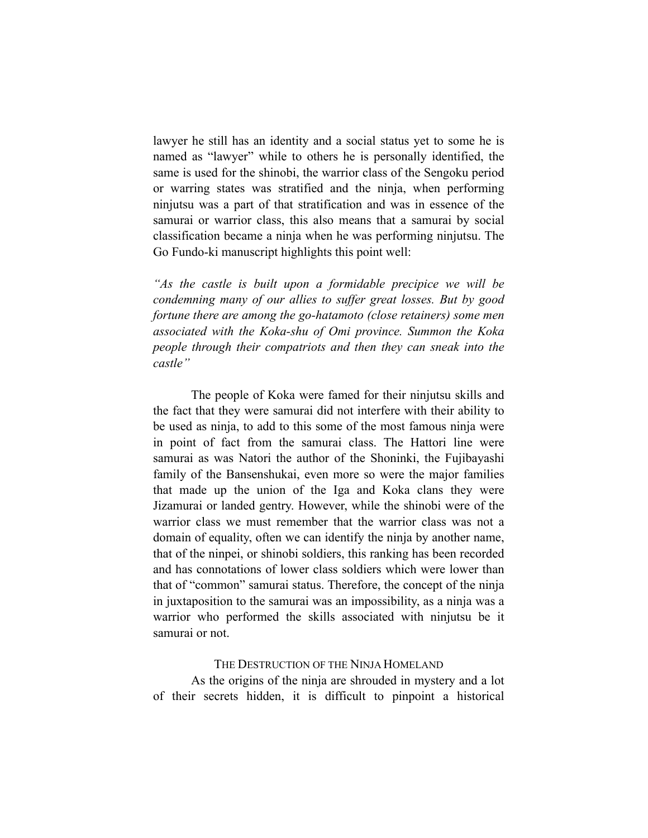lawyer he still has an identity and a social status yet to some he is named as "lawyer" while to others he is personally identified, the same is used for the shinobi, the warrior class of the Sengoku period or warring states was stratified and the ninja, when performing ninjutsu was a part of that stratification and was in essence of the samurai or warrior class, this also means that a samurai by social classification became a ninja when he was performing ninjutsu. The Go Fundo-ki manuscript highlights this point well:

*"As the castle is built upon a formidable precipice we will be condemning many of our allies to suffer great losses. But by good fortune there are among the go-hatamoto (close retainers) some men associated with the Koka-shu of Omi province. Summon the Koka people through their compatriots and then they can sneak into the castle"*

The people of Koka were famed for their ninjutsu skills and the fact that they were samurai did not interfere with their ability to be used as ninja, to add to this some of the most famous ninja were in point of fact from the samurai class. The Hattori line were samurai as was Natori the author of the Shoninki, the Fujibayashi family of the Bansenshukai, even more so were the major families that made up the union of the Iga and Koka clans they were Jizamurai or landed gentry. However, while the shinobi were of the warrior class we must remember that the warrior class was not a domain of equality, often we can identify the ninja by another name, that of the ninpei, or shinobi soldiers, this ranking has been recorded and has connotations of lower class soldiers which were lower than that of "common" samurai status. Therefore, the concept of the ninja in juxtaposition to the samurai was an impossibility, as a ninja was a warrior who performed the skills associated with ninjutsu be it samurai or not.

#### THE DESTRUCTION OF THE NINJA HOMELAND

As the origins of the ninja are shrouded in mystery and a lot of their secrets hidden, it is difficult to pinpoint a historical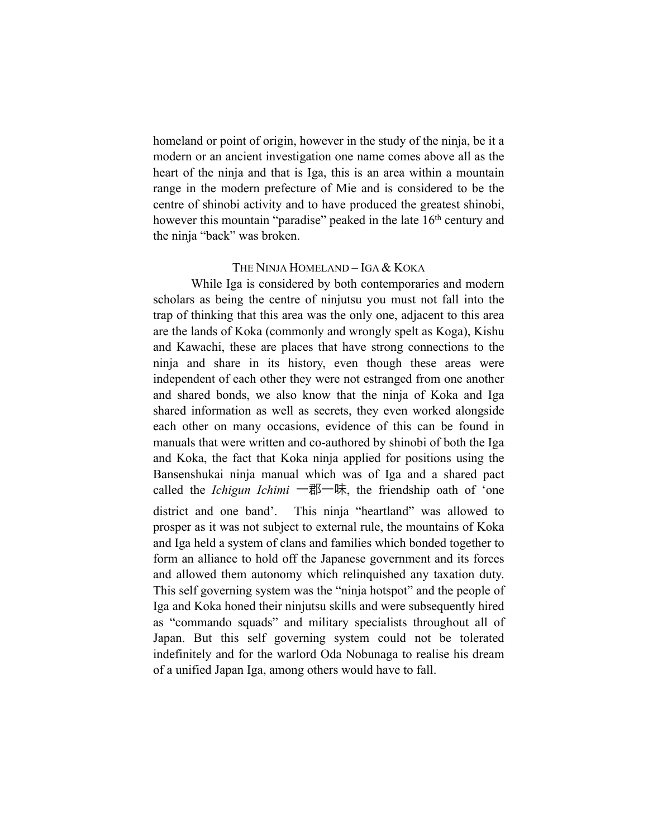homeland or point of origin, however in the study of the ninja, be it a modern or an ancient investigation one name comes above all as the heart of the ninja and that is Iga, this is an area within a mountain range in the modern prefecture of Mie and is considered to be the centre of shinobi activity and to have produced the greatest shinobi, however this mountain "paradise" peaked in the late 16<sup>th</sup> century and the ninja "back" was broken.

#### THE NINJA HOMELAND – IGA & KOKA

While Iga is considered by both contemporaries and modern scholars as being the centre of ninjutsu you must not fall into the trap of thinking that this area was the only one, adjacent to this area are the lands of Koka (commonly and wrongly spelt as Koga), Kishu and Kawachi, these are places that have strong connections to the ninja and share in its history, even though these areas were independent of each other they were not estranged from one another and shared bonds, we also know that the ninja of Koka and Iga shared information as well as secrets, they even worked alongside each other on many occasions, evidence of this can be found in manuals that were written and co-authored by shinobi of both the Iga and Koka, the fact that Koka ninja applied for positions using the Bansenshukai ninja manual which was of Iga and a shared pact called the *Ichigun Ichimi* 一郡一味, the friendship oath of 'one district and one band'. This ninja "heartland" was allowed to prosper as it was not subject to external rule, the mountains of Koka and Iga held a system of clans and families which bonded together to form an alliance to hold off the Japanese government and its forces and allowed them autonomy which relinquished any taxation duty. This self governing system was the "ninja hotspot" and the people of Iga and Koka honed their ninjutsu skills and were subsequently hired as "commando squads" and military specialists throughout all of Japan. But this self governing system could not be tolerated indefinitely and for the warlord Oda Nobunaga to realise his dream of a unified Japan Iga, among others would have to fall.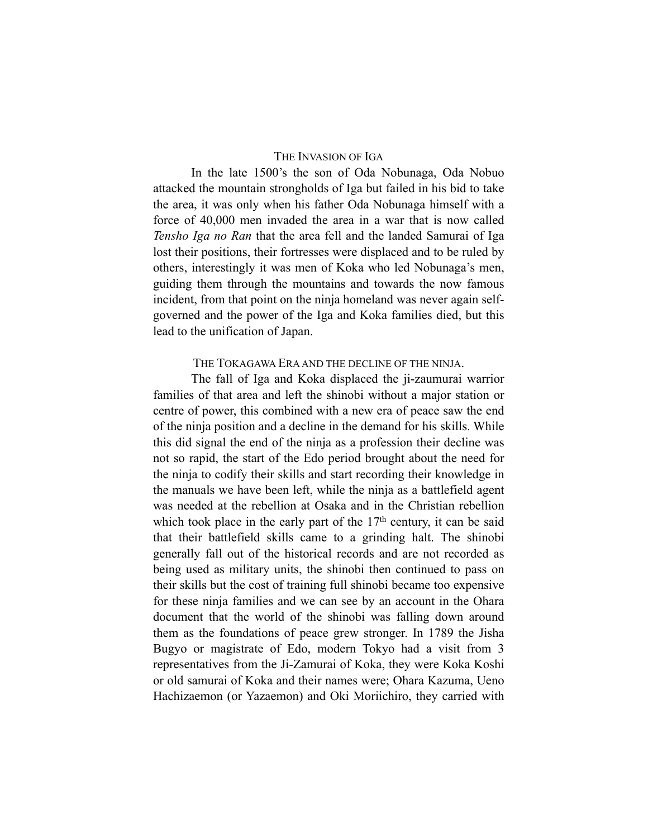#### THE INVASION OF IGA

In the late 1500's the son of Oda Nobunaga, Oda Nobuo attacked the mountain strongholds of Iga but failed in his bid to take the area, it was only when his father Oda Nobunaga himself with a force of 40,000 men invaded the area in a war that is now called *Tensho Iga no Ran* that the area fell and the landed Samurai of Iga lost their positions, their fortresses were displaced and to be ruled by others, interestingly it was men of Koka who led Nobunaga's men, guiding them through the mountains and towards the now famous incident, from that point on the ninja homeland was never again selfgoverned and the power of the Iga and Koka families died, but this lead to the unification of Japan.

#### THE TOKAGAWA ERA AND THE DECLINE OF THE NINJA.

The fall of Iga and Koka displaced the ji-zaumurai warrior families of that area and left the shinobi without a major station or centre of power, this combined with a new era of peace saw the end of the ninja position and a decline in the demand for his skills. While this did signal the end of the ninja as a profession their decline was not so rapid, the start of the Edo period brought about the need for the ninja to codify their skills and start recording their knowledge in the manuals we have been left, while the ninja as a battlefield agent was needed at the rebellion at Osaka and in the Christian rebellion which took place in the early part of the  $17<sup>th</sup>$  century, it can be said that their battlefield skills came to a grinding halt. The shinobi generally fall out of the historical records and are not recorded as being used as military units, the shinobi then continued to pass on their skills but the cost of training full shinobi became too expensive for these ninja families and we can see by an account in the Ohara document that the world of the shinobi was falling down around them as the foundations of peace grew stronger. In 1789 the Jisha Bugyo or magistrate of Edo, modern Tokyo had a visit from 3 representatives from the Ji-Zamurai of Koka, they were Koka Koshi or old samurai of Koka and their names were; Ohara Kazuma, Ueno Hachizaemon (or Yazaemon) and Oki Moriichiro, they carried with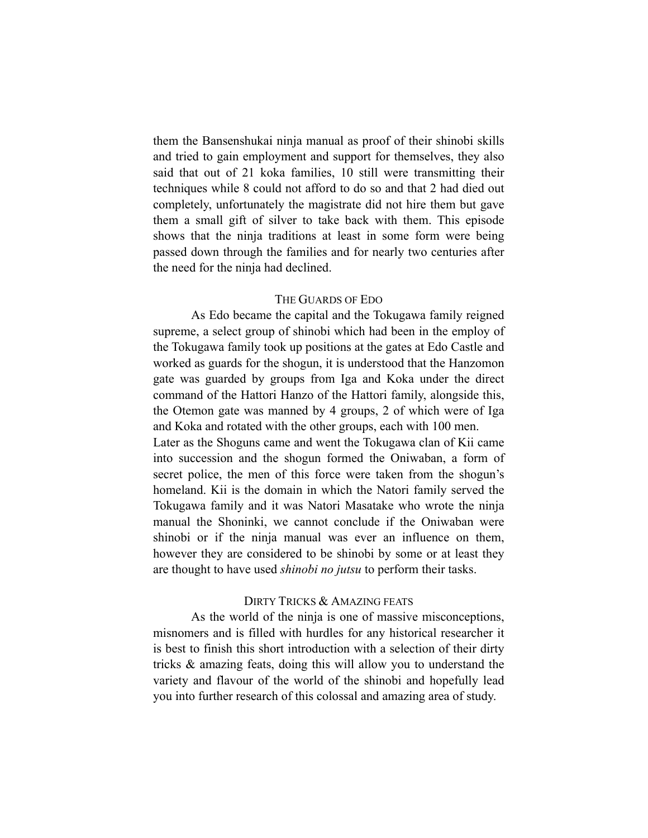them the Bansenshukai ninja manual as proof of their shinobi skills and tried to gain employment and support for themselves, they also said that out of 21 koka families, 10 still were transmitting their techniques while 8 could not afford to do so and that 2 had died out completely, unfortunately the magistrate did not hire them but gave them a small gift of silver to take back with them. This episode shows that the ninja traditions at least in some form were being passed down through the families and for nearly two centuries after the need for the ninja had declined.

#### THE GUARDS OF EDO

As Edo became the capital and the Tokugawa family reigned supreme, a select group of shinobi which had been in the employ of the Tokugawa family took up positions at the gates at Edo Castle and worked as guards for the shogun, it is understood that the Hanzomon gate was guarded by groups from Iga and Koka under the direct command of the Hattori Hanzo of the Hattori family, alongside this, the Otemon gate was manned by 4 groups, 2 of which were of Iga and Koka and rotated with the other groups, each with 100 men.

Later as the Shoguns came and went the Tokugawa clan of Kii came into succession and the shogun formed the Oniwaban, a form of secret police, the men of this force were taken from the shogun's homeland. Kii is the domain in which the Natori family served the Tokugawa family and it was Natori Masatake who wrote the ninja manual the Shoninki, we cannot conclude if the Oniwaban were shinobi or if the ninja manual was ever an influence on them, however they are considered to be shinobi by some or at least they are thought to have used *shinobi no jutsu* to perform their tasks.

#### DIRTY TRICKS & AMAZING FEATS

As the world of the ninja is one of massive misconceptions, misnomers and is filled with hurdles for any historical researcher it is best to finish this short introduction with a selection of their dirty tricks & amazing feats, doing this will allow you to understand the variety and flavour of the world of the shinobi and hopefully lead you into further research of this colossal and amazing area of study.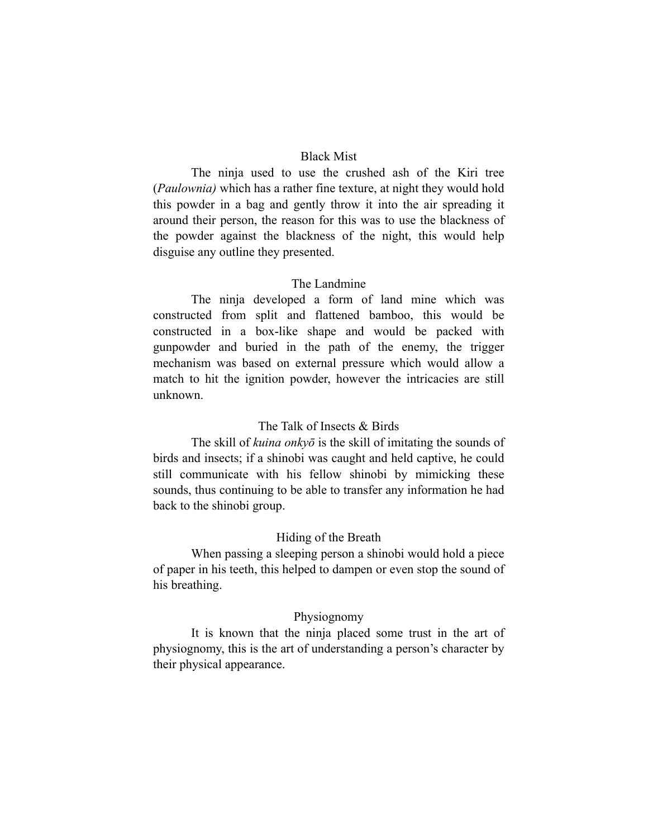#### Black Mist

The ninja used to use the crushed ash of the Kiri tree (*Paulownia)* which has a rather fine texture, at night they would hold this powder in a bag and gently throw it into the air spreading it around their person, the reason for this was to use the blackness of the powder against the blackness of the night, this would help disguise any outline they presented.

#### The Landmine

The ninja developed a form of land mine which was constructed from split and flattened bamboo, this would be constructed in a box-like shape and would be packed with gunpowder and buried in the path of the enemy, the trigger mechanism was based on external pressure which would allow a match to hit the ignition powder, however the intricacies are still unknown.

#### The Talk of Insects & Birds

The skill of *kuina onkyō* is the skill of imitating the sounds of birds and insects; if a shinobi was caught and held captive, he could still communicate with his fellow shinobi by mimicking these sounds, thus continuing to be able to transfer any information he had back to the shinobi group.

#### Hiding of the Breath

When passing a sleeping person a shinobi would hold a piece of paper in his teeth, this helped to dampen or even stop the sound of his breathing.

#### Physiognomy

It is known that the ninja placed some trust in the art of physiognomy, this is the art of understanding a person's character by their physical appearance.